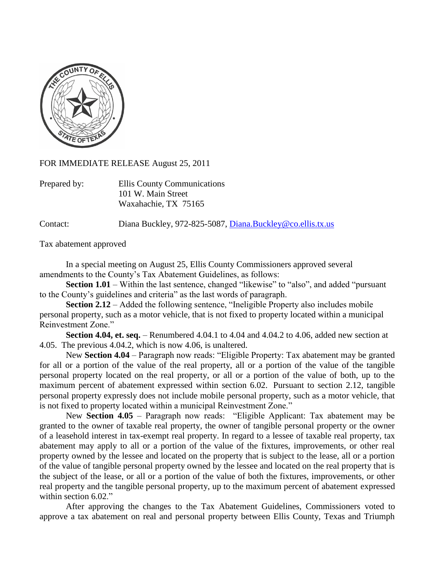

FOR IMMEDIATE RELEASE August 25, 2011

| Prepared by: | Ellis County Communications |
|--------------|-----------------------------|
|              | 101 W. Main Street          |
|              | Waxahachie, TX 75165        |

Contact: Diana Buckley, 972-825-5087, [Diana.Buckley@co.ellis.tx.us](mailto:Diana.Buckley@co.ellis.tx.us)

Tax abatement approved

In a special meeting on August 25, Ellis County Commissioners approved several amendments to the County's Tax Abatement Guidelines, as follows:

**Section 1.01** – Within the last sentence, changed "likewise" to "also", and added "pursuant" to the County's guidelines and criteria" as the last words of paragraph.

**Section 2.12** – Added the following sentence, "Ineligible Property also includes mobile personal property, such as a motor vehicle, that is not fixed to property located within a municipal Reinvestment Zone."

**Section 4.04, et. seq.** – Renumbered 4.04.1 to 4.04 and 4.04.2 to 4.06, added new section at 4.05. The previous 4.04.2, which is now 4.06, is unaltered.

New **Section 4.04** – Paragraph now reads: "Eligible Property: Tax abatement may be granted for all or a portion of the value of the real property, all or a portion of the value of the tangible personal property located on the real property, or all or a portion of the value of both, up to the maximum percent of abatement expressed within section 6.02. Pursuant to section 2.12, tangible personal property expressly does not include mobile personal property, such as a motor vehicle, that is not fixed to property located within a municipal Reinvestment Zone."

New **Section 4.05** – Paragraph now reads: "Eligible Applicant: Tax abatement may be granted to the owner of taxable real property, the owner of tangible personal property or the owner of a leasehold interest in tax-exempt real property. In regard to a lessee of taxable real property, tax abatement may apply to all or a portion of the value of the fixtures, improvements, or other real property owned by the lessee and located on the property that is subject to the lease, all or a portion of the value of tangible personal property owned by the lessee and located on the real property that is the subject of the lease, or all or a portion of the value of both the fixtures, improvements, or other real property and the tangible personal property, up to the maximum percent of abatement expressed within section 6.02."

After approving the changes to the Tax Abatement Guidelines, Commissioners voted to approve a tax abatement on real and personal property between Ellis County, Texas and Triumph